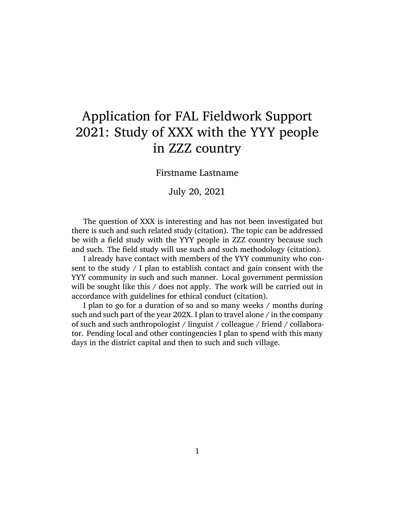## Application for FAL Fieldwork Support 2021: Study of XXX with the YYY people in ZZZ country

Firstname Lastname

July 20, 2021

The question of XXX is interesting and has not been investigated but there is such and such related study (citation). The topic can be addressed be with a field study with the YYY people in ZZZ country because such and such. The field study will use such and such methodology (citation).

I already have contact with members of the YYY community who consent to the study  $\frac{1}{2}$  plan to establish contact and gain consent with the YYY community in such and such manner. Local government permission will be sought like this / does not apply. The work will be carried out in accordance with guidelines for ethical conduct (citation).

I plan to go for a duration of so and so many weeks / months during such and such part of the year 202X. I plan to travel alone / in the company of such and such anthropologist / linguist / colleague / friend / collaborator. Pending local and other contingencies I plan to spend with this many days in the district capital and then to such and such village.